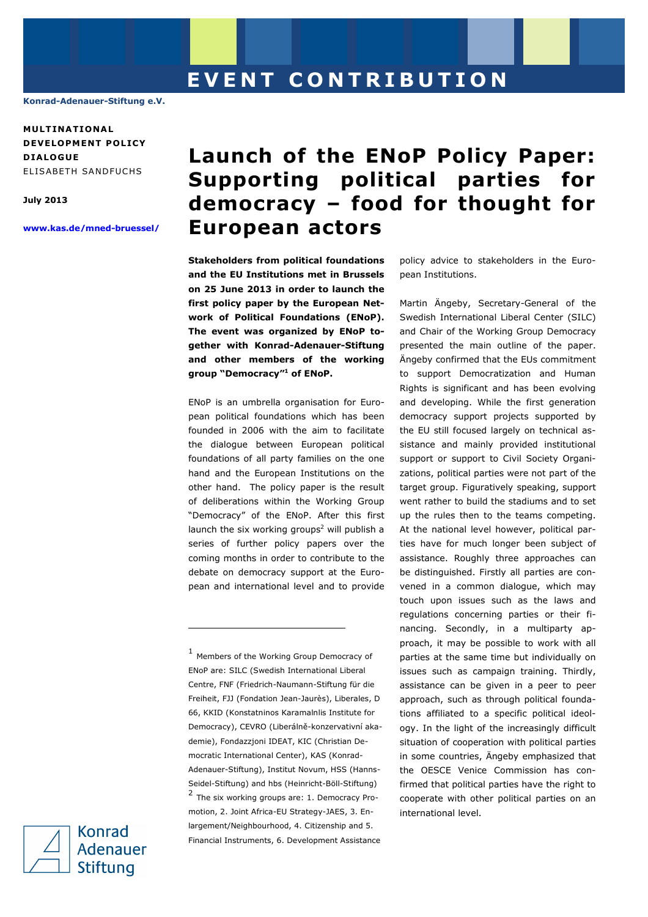## **E V E N T C O N T R I B U T I O N**

**Konrad-Adenauer-Stiftung e.V.** 

**MULT INAT IONA L DEVELOPMENT POLICY D IALOGUE**  ELISABETH SANDFUCHS

**July 2013** 

**www.kas.de/mned-bruessel/**

## **Launch of the ENoP Policy Paper: Supporting political parties for democracy – food for thought for European actors**

**Stakeholders from political foundations and the EU Institutions met in Brussels on 25 June 2013 in order to launch the first policy paper by the European Network of Political Foundations (ENoP). The event was organized by ENoP together with Konrad-Adenauer-Stiftung and other members of the working group "Democracy"<sup>1</sup> of ENoP.** 

ENoP is an umbrella organisation for European political foundations which has been founded in 2006 with the aim to facilitate the dialogue between European political foundations of all party families on the one hand and the European Institutions on the other hand. The policy paper is the result of deliberations within the Working Group "Democracy" of the ENoP. After this first launch the six working groups<sup>2</sup> will publish a series of further policy papers over the coming months in order to contribute to the debate on democracy support at the European and international level and to provide

 $<sup>1</sup>$  Members of the Working Group Democracy of</sup> ENoP are: SILC (Swedish International Liberal Centre, FNF (Friedrich-Naumann-Stiftung für die Freiheit, FJJ (Fondation Jean-Jaurès), Liberales, D 66, KKID (Konstatninos Karamalnlis Institute for Democracy), CEVRO (Liberálně-konzervativní akademie), Fondazzjoni IDEAT, KIC (Christian Democratic International Center), KAS (Konrad-Adenauer-Stiftung), Institut Novum, HSS (Hanns-Seidel-Stiftung) and hbs (Heinricht-Böll-Stiftung)  $2$  The six working groups are: 1. Democracy Promotion, 2. Joint Africa-EU Strategy-JAES, 3. Enlargement/Neighbourhood, 4. Citizenship and 5. Financial Instruments, 6. Development Assistance

j

policy advice to stakeholders in the European Institutions.

Martin Ängeby, Secretary-General of the Swedish International Liberal Center (SILC) and Chair of the Working Group Democracy presented the main outline of the paper. Ängeby confirmed that the EUs commitment to support Democratization and Human Rights is significant and has been evolving and developing. While the first generation democracy support projects supported by the EU still focused largely on technical assistance and mainly provided institutional support or support to Civil Society Organizations, political parties were not part of the target group. Figuratively speaking, support went rather to build the stadiums and to set up the rules then to the teams competing. At the national level however, political parties have for much longer been subject of assistance. Roughly three approaches can be distinguished. Firstly all parties are convened in a common dialogue, which may touch upon issues such as the laws and regulations concerning parties or their financing. Secondly, in a multiparty approach, it may be possible to work with all parties at the same time but individually on issues such as campaign training. Thirdly, assistance can be given in a peer to peer approach, such as through political foundations affiliated to a specific political ideology. In the light of the increasingly difficult situation of cooperation with political parties in some countries, Ängeby emphasized that the OESCE Venice Commission has confirmed that political parties have the right to cooperate with other political parties on an international level.